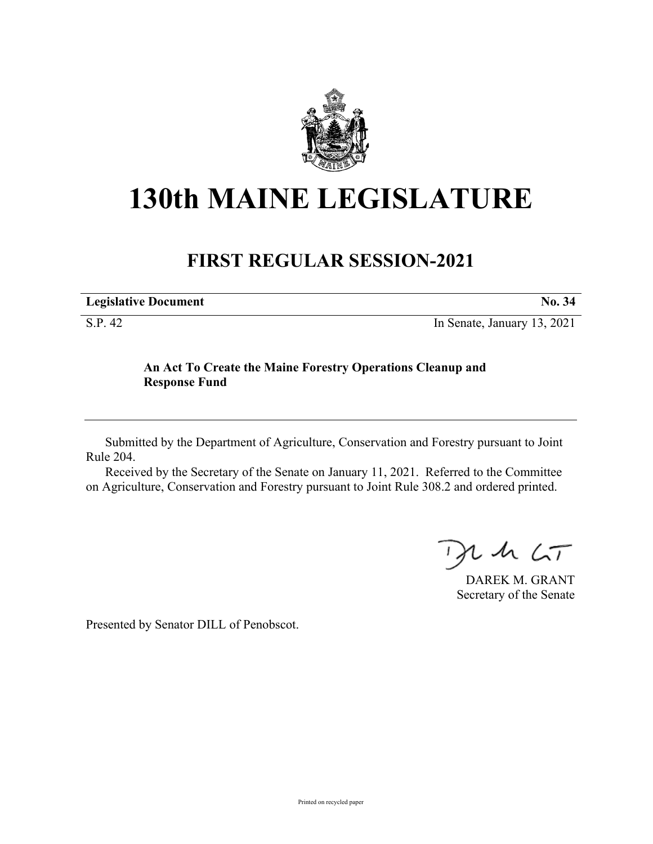

## **130th MAINE LEGISLATURE**

## **FIRST REGULAR SESSION-2021**

| <b>Legislative Document</b> | No. 34                      |
|-----------------------------|-----------------------------|
| S.P. 42                     | In Senate, January 13, 2021 |

## **An Act To Create the Maine Forestry Operations Cleanup and**

## Submitted by the Department of Agriculture, Conservation and Forestry pursuant to Joint Rule 204.

Received by the Secretary of the Senate on January 11, 2021. Referred to the Committee on Agriculture, Conservation and Forestry pursuant to Joint Rule 308.2 and ordered printed.

 $U$  sh  $\zeta$ T

DAREK M. GRANT Secretary of the Senate

Presented by Senator DILL of Penobscot.

**Response Fund**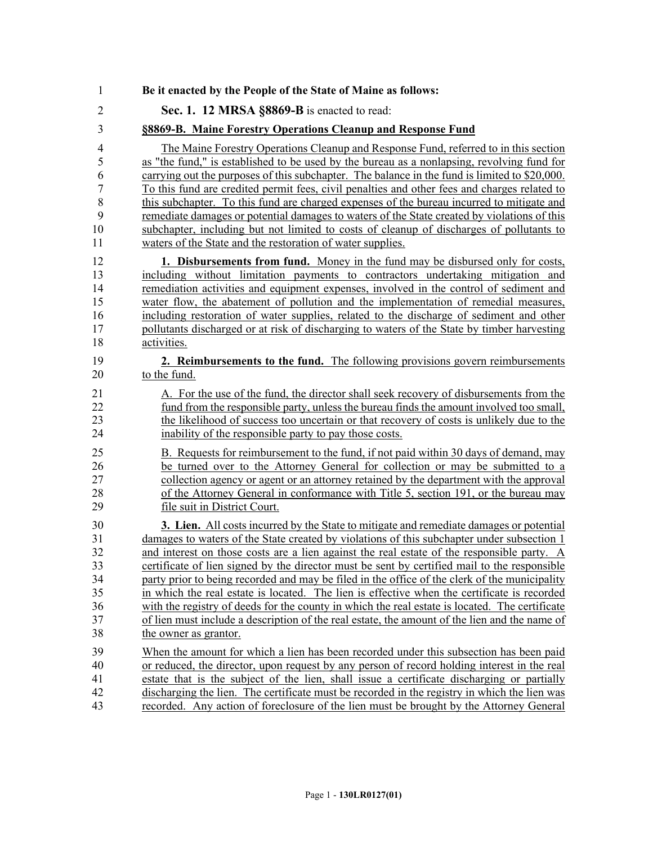| 1              | Be it enacted by the People of the State of Maine as follows:                                  |
|----------------|------------------------------------------------------------------------------------------------|
| $\overline{2}$ | Sec. 1. 12 MRSA §8869-B is enacted to read:                                                    |
| 3              | §8869-B. Maine Forestry Operations Cleanup and Response Fund                                   |
| 4              | The Maine Forestry Operations Cleanup and Response Fund, referred to in this section           |
| 5              | as "the fund," is established to be used by the bureau as a nonlapsing, revolving fund for     |
| 6              | carrying out the purposes of this subchapter. The balance in the fund is limited to \$20,000.  |
| $\sqrt{ }$     | To this fund are credited permit fees, civil penalties and other fees and charges related to   |
| 8              | this subchapter. To this fund are charged expenses of the bureau incurred to mitigate and      |
| 9              | remediate damages or potential damages to waters of the State created by violations of this    |
| 10             | subchapter, including but not limited to costs of cleanup of discharges of pollutants to       |
| 11             | waters of the State and the restoration of water supplies.                                     |
| 12             | <b>1. Disbursements from fund.</b> Money in the fund may be disbursed only for costs,          |
| 13             | including without limitation payments to contractors undertaking mitigation and                |
| 14             | remediation activities and equipment expenses, involved in the control of sediment and         |
| 15             | water flow, the abatement of pollution and the implementation of remedial measures,            |
| 16             | including restoration of water supplies, related to the discharge of sediment and other        |
| 17             | pollutants discharged or at risk of discharging to waters of the State by timber harvesting    |
| 18             | activities.                                                                                    |
| 19             | 2. Reimbursements to the fund. The following provisions govern reimbursements                  |
| 20             | to the fund.                                                                                   |
| 21             | A. For the use of the fund, the director shall seek recovery of disbursements from the         |
| 22             | fund from the responsible party, unless the bureau finds the amount involved too small,        |
| 23             | the likelihood of success too uncertain or that recovery of costs is unlikely due to the       |
| 24             | inability of the responsible party to pay those costs.                                         |
| 25             | B. Requests for reimbursement to the fund, if not paid within 30 days of demand, may           |
| 26             | be turned over to the Attorney General for collection or may be submitted to a                 |
| 27             | collection agency or agent or an attorney retained by the department with the approval         |
| 28             | of the Attorney General in conformance with Title 5, section 191, or the bureau may            |
| 29             | file suit in District Court.                                                                   |
| 30             | <b>3. Lien.</b> All costs incurred by the State to mitigate and remediate damages or potential |
| 31             | damages to waters of the State created by violations of this subchapter under subsection 1     |
| 32             | and interest on those costs are a lien against the real estate of the responsible party. A     |
| 33             | certificate of lien signed by the director must be sent by certified mail to the responsible   |
| 34             | party prior to being recorded and may be filed in the office of the clerk of the municipality  |
| 35             | in which the real estate is located. The lien is effective when the certificate is recorded    |
| 36             | with the registry of deeds for the county in which the real estate is located. The certificate |
| 37             | of lien must include a description of the real estate, the amount of the lien and the name of  |
| 38             | the owner as grantor.                                                                          |
| 39             | When the amount for which a lien has been recorded under this subsection has been paid         |
| 40             | or reduced, the director, upon request by any person of record holding interest in the real    |
| 41             | estate that is the subject of the lien, shall issue a certificate discharging or partially     |
| 42             | discharging the lien. The certificate must be recorded in the registry in which the lien was   |
| 43             | recorded. Any action of foreclosure of the lien must be brought by the Attorney General        |